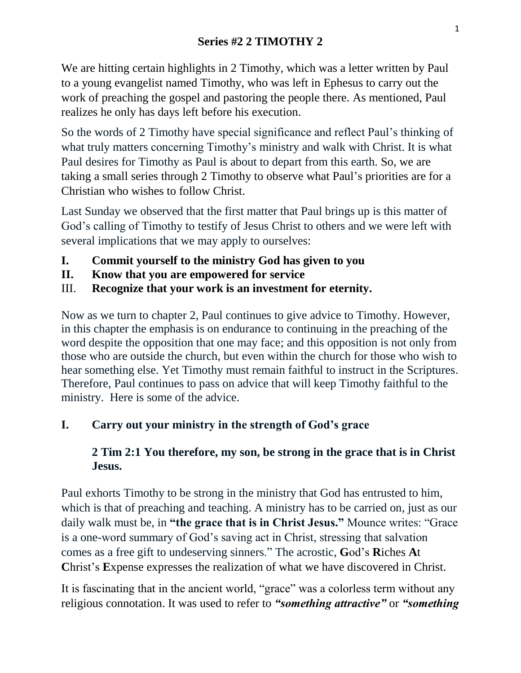We are hitting certain highlights in 2 Timothy, which was a letter written by Paul to a young evangelist named Timothy, who was left in Ephesus to carry out the work of preaching the gospel and pastoring the people there. As mentioned, Paul realizes he only has days left before his execution.

So the words of 2 Timothy have special significance and reflect Paul's thinking of what truly matters concerning Timothy's ministry and walk with Christ. It is what Paul desires for Timothy as Paul is about to depart from this earth. So, we are taking a small series through 2 Timothy to observe what Paul's priorities are for a Christian who wishes to follow Christ.

Last Sunday we observed that the first matter that Paul brings up is this matter of God's calling of Timothy to testify of Jesus Christ to others and we were left with several implications that we may apply to ourselves:

- **I. Commit yourself to the ministry God has given to you**
- **II. Know that you are empowered for service**
- III. **Recognize that your work is an investment for eternity.**

Now as we turn to chapter 2, Paul continues to give advice to Timothy. However, in this chapter the emphasis is on endurance to continuing in the preaching of the word despite the opposition that one may face; and this opposition is not only from those who are outside the church, but even within the church for those who wish to hear something else. Yet Timothy must remain faithful to instruct in the Scriptures. Therefore, Paul continues to pass on advice that will keep Timothy faithful to the ministry. Here is some of the advice.

# **I. Carry out your ministry in the strength of God's grace**

# **2 Tim 2:1 You therefore, my son, be strong in the grace that is in Christ Jesus.**

Paul exhorts Timothy to be strong in the ministry that God has entrusted to him, which is that of preaching and teaching. A ministry has to be carried on, just as our daily walk must be, in **"the grace that is in Christ Jesus."** Mounce writes: "Grace is a one-word summary of God's saving act in Christ, stressing that salvation comes as a free gift to undeserving sinners." The acrostic, **G**od's **R**iches **A**t **C**hrist's **E**xpense expresses the realization of what we have discovered in Christ.

It is fascinating that in the ancient world, "grace" was a colorless term without any religious connotation. It was used to refer to *"something attractive"* or *"something*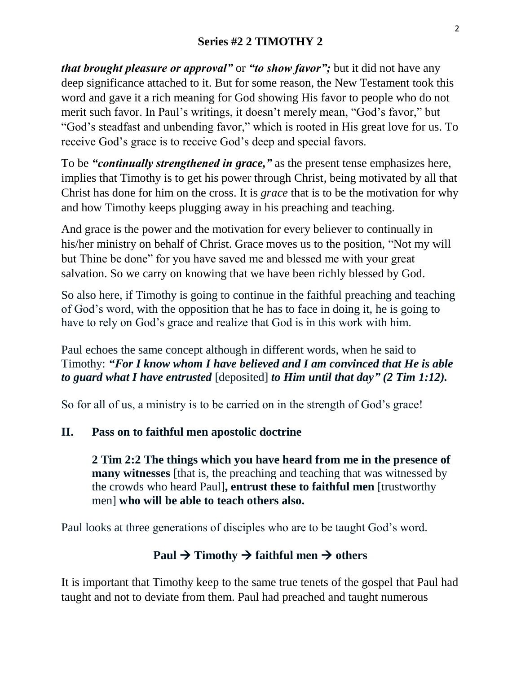## **Series #2 2 TIMOTHY 2**

*that brought pleasure or approval"* or *"to show favor";* but it did not have any deep significance attached to it. But for some reason, the New Testament took this word and gave it a rich meaning for God showing His favor to people who do not merit such favor. In Paul's writings, it doesn't merely mean, "God's favor," but "God's steadfast and unbending favor," which is rooted in His great love for us. To receive God's grace is to receive God's deep and special favors.

To be *"continually strengthened in grace,"* as the present tense emphasizes here, implies that Timothy is to get his power through Christ, being motivated by all that Christ has done for him on the cross. It is *grace* that is to be the motivation for why and how Timothy keeps plugging away in his preaching and teaching.

And grace is the power and the motivation for every believer to continually in his/her ministry on behalf of Christ. Grace moves us to the position, "Not my will but Thine be done" for you have saved me and blessed me with your great salvation. So we carry on knowing that we have been richly blessed by God.

So also here, if Timothy is going to continue in the faithful preaching and teaching of God's word, with the opposition that he has to face in doing it, he is going to have to rely on God's grace and realize that God is in this work with him.

Paul echoes the same concept although in different words, when he said to Timothy: *"For I know whom I have believed and I am convinced that He is able to guard what I have entrusted* [deposited] *to Him until that day" (2 Tim 1:12).* 

So for all of us, a ministry is to be carried on in the strength of God's grace!

#### **II. Pass on to faithful men apostolic doctrine**

**2 Tim 2:2 The things which you have heard from me in the presence of many witnesses** [that is, the preaching and teaching that was witnessed by the crowds who heard Paul]**, entrust these to faithful men** [trustworthy men] **who will be able to teach others also.**

Paul looks at three generations of disciples who are to be taught God's word.

# Paul  $\rightarrow$  Timothy  $\rightarrow$  faithful men  $\rightarrow$  others

It is important that Timothy keep to the same true tenets of the gospel that Paul had taught and not to deviate from them. Paul had preached and taught numerous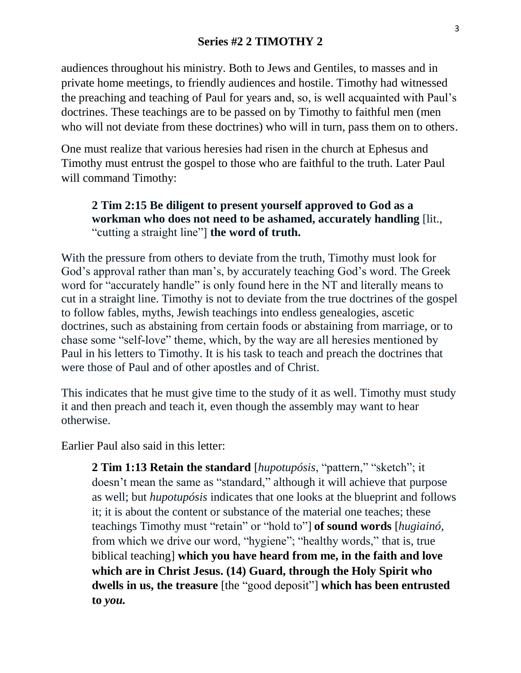### **Series #2 2 TIMOTHY 2**

audiences throughout his ministry. Both to Jews and Gentiles, to masses and in private home meetings, to friendly audiences and hostile. Timothy had witnessed the preaching and teaching of Paul for years and, so, is well acquainted with Paul's doctrines. These teachings are to be passed on by Timothy to faithful men (men who will not deviate from these doctrines) who will in turn, pass them on to others.

One must realize that various heresies had risen in the church at Ephesus and Timothy must entrust the gospel to those who are faithful to the truth. Later Paul will command Timothy:

#### **2 Tim 2:15 Be diligent to present yourself approved to God as a workman who does not need to be ashamed, accurately handling** [lit., "cutting a straight line"] **the word of truth.**

With the pressure from others to deviate from the truth, Timothy must look for God's approval rather than man's, by accurately teaching God's word. The Greek word for "accurately handle" is only found here in the NT and literally means to cut in a straight line. Timothy is not to deviate from the true doctrines of the gospel to follow fables, myths, Jewish teachings into endless genealogies, ascetic doctrines, such as abstaining from certain foods or abstaining from marriage, or to chase some "self-love" theme, which, by the way are all heresies mentioned by Paul in his letters to Timothy. It is his task to teach and preach the doctrines that were those of Paul and of other apostles and of Christ.

This indicates that he must give time to the study of it as well. Timothy must study it and then preach and teach it, even though the assembly may want to hear otherwise.

Earlier Paul also said in this letter:

**2 Tim 1:13 Retain the standard** [*hupotupósis*, "pattern," "sketch"; it doesn't mean the same as "standard," although it will achieve that purpose as well; but *hupotupósis* indicates that one looks at the blueprint and follows it; it is about the content or substance of the material one teaches; these teachings Timothy must "retain" or "hold to"] **of sound words** [*hugiainó,*  from which we drive our word, "hygiene"; "healthy words," that is, true biblical teaching] **which you have heard from me, in the faith and love which are in Christ Jesus. (14) Guard, through the Holy Spirit who dwells in us, the treasure** [the "good deposit"] **which has been entrusted to** *you.*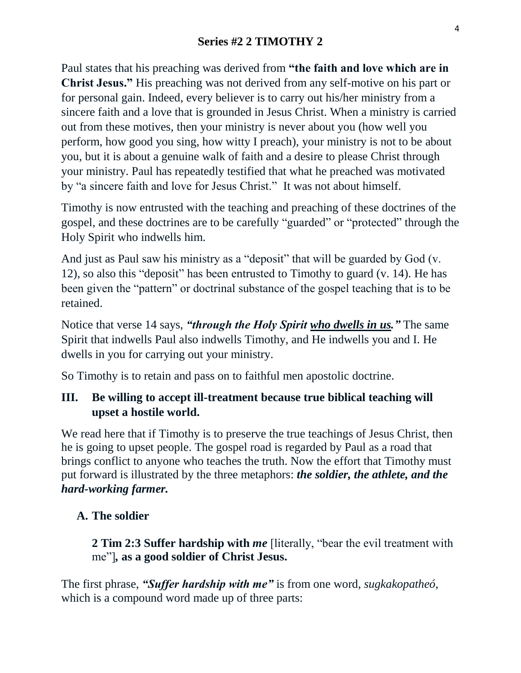## **Series #2 2 TIMOTHY 2**

Paul states that his preaching was derived from **"the faith and love which are in Christ Jesus."** His preaching was not derived from any self-motive on his part or for personal gain. Indeed, every believer is to carry out his/her ministry from a sincere faith and a love that is grounded in Jesus Christ. When a ministry is carried out from these motives, then your ministry is never about you (how well you perform, how good you sing, how witty I preach), your ministry is not to be about you, but it is about a genuine walk of faith and a desire to please Christ through your ministry. Paul has repeatedly testified that what he preached was motivated by "a sincere faith and love for Jesus Christ." It was not about himself.

Timothy is now entrusted with the teaching and preaching of these doctrines of the gospel, and these doctrines are to be carefully "guarded" or "protected" through the Holy Spirit who indwells him.

And just as Paul saw his ministry as a "deposit" that will be guarded by God (v. 12), so also this "deposit" has been entrusted to Timothy to guard (v. 14). He has been given the "pattern" or doctrinal substance of the gospel teaching that is to be retained.

Notice that verse 14 says, *"through the Holy Spirit who dwells in us."* The same Spirit that indwells Paul also indwells Timothy, and He indwells you and I. He dwells in you for carrying out your ministry.

So Timothy is to retain and pass on to faithful men apostolic doctrine.

## **III. Be willing to accept ill-treatment because true biblical teaching will upset a hostile world.**

We read here that if Timothy is to preserve the true teachings of Jesus Christ, then he is going to upset people. The gospel road is regarded by Paul as a road that brings conflict to anyone who teaches the truth. Now the effort that Timothy must put forward is illustrated by the three metaphors: *the soldier, the athlete, and the hard-working farmer.*

#### **A. The soldier**

**2 Tim 2:3 Suffer hardship with** *me* [literally, "bear the evil treatment with me"]*,* **as a good soldier of Christ Jesus.**

The first phrase, *"Suffer hardship with me"* is from one word, *sugkakopatheó*, which is a compound word made up of three parts: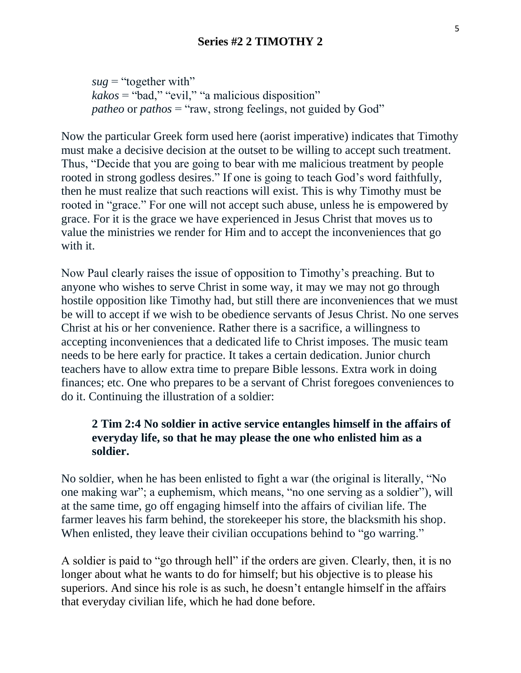$sug = "together with"$ *kakos* = "bad," "evil," "a malicious disposition" *patheo or pathos* = "raw, strong feelings, not guided by God"

Now the particular Greek form used here (aorist imperative) indicates that Timothy must make a decisive decision at the outset to be willing to accept such treatment. Thus, "Decide that you are going to bear with me malicious treatment by people rooted in strong godless desires." If one is going to teach God's word faithfully, then he must realize that such reactions will exist. This is why Timothy must be rooted in "grace." For one will not accept such abuse, unless he is empowered by grace. For it is the grace we have experienced in Jesus Christ that moves us to value the ministries we render for Him and to accept the inconveniences that go with it.

Now Paul clearly raises the issue of opposition to Timothy's preaching. But to anyone who wishes to serve Christ in some way, it may we may not go through hostile opposition like Timothy had, but still there are inconveniences that we must be will to accept if we wish to be obedience servants of Jesus Christ. No one serves Christ at his or her convenience. Rather there is a sacrifice, a willingness to accepting inconveniences that a dedicated life to Christ imposes. The music team needs to be here early for practice. It takes a certain dedication. Junior church teachers have to allow extra time to prepare Bible lessons. Extra work in doing finances; etc. One who prepares to be a servant of Christ foregoes conveniences to do it. Continuing the illustration of a soldier:

## **2 Tim 2:4 No soldier in active service entangles himself in the affairs of everyday life, so that he may please the one who enlisted him as a soldier.**

No soldier, when he has been enlisted to fight a war (the original is literally, "No one making war"; a euphemism, which means, "no one serving as a soldier"), will at the same time, go off engaging himself into the affairs of civilian life. The farmer leaves his farm behind, the storekeeper his store, the blacksmith his shop. When enlisted, they leave their civilian occupations behind to "go warring."

A soldier is paid to "go through hell" if the orders are given. Clearly, then, it is no longer about what he wants to do for himself; but his objective is to please his superiors. And since his role is as such, he doesn't entangle himself in the affairs that everyday civilian life, which he had done before.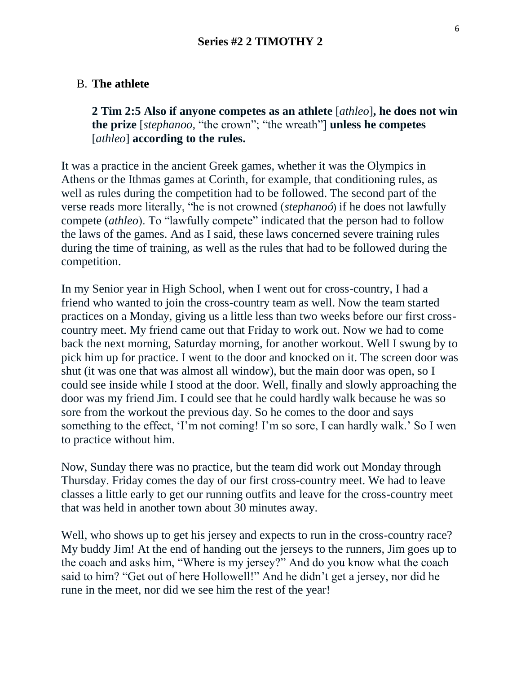# B. **The athlete**

**2 Tim 2:5 Also if anyone competes as an athlete** [*athleo*]**, he does not win the prize** [*stephanoo,* "the crown"; "the wreath"] **unless he competes** [*athleo*] **according to the rules.**

It was a practice in the ancient Greek games, whether it was the Olympics in Athens or the Ithmas games at Corinth, for example, that conditioning rules, as well as rules during the competition had to be followed. The second part of the verse reads more literally, "he is not crowned (*stephanoó*) if he does not lawfully compete (*athleo*). To "lawfully compete" indicated that the person had to follow the laws of the games. And as I said, these laws concerned severe training rules during the time of training, as well as the rules that had to be followed during the competition.

In my Senior year in High School, when I went out for cross-country, I had a friend who wanted to join the cross-country team as well. Now the team started practices on a Monday, giving us a little less than two weeks before our first crosscountry meet. My friend came out that Friday to work out. Now we had to come back the next morning, Saturday morning, for another workout. Well I swung by to pick him up for practice. I went to the door and knocked on it. The screen door was shut (it was one that was almost all window), but the main door was open, so I could see inside while I stood at the door. Well, finally and slowly approaching the door was my friend Jim. I could see that he could hardly walk because he was so sore from the workout the previous day. So he comes to the door and says something to the effect, 'I'm not coming! I'm so sore, I can hardly walk.' So I wen to practice without him.

Now, Sunday there was no practice, but the team did work out Monday through Thursday. Friday comes the day of our first cross-country meet. We had to leave classes a little early to get our running outfits and leave for the cross-country meet that was held in another town about 30 minutes away.

Well, who shows up to get his jersey and expects to run in the cross-country race? My buddy Jim! At the end of handing out the jerseys to the runners, Jim goes up to the coach and asks him, "Where is my jersey?" And do you know what the coach said to him? "Get out of here Hollowell!" And he didn't get a jersey, nor did he rune in the meet, nor did we see him the rest of the year!